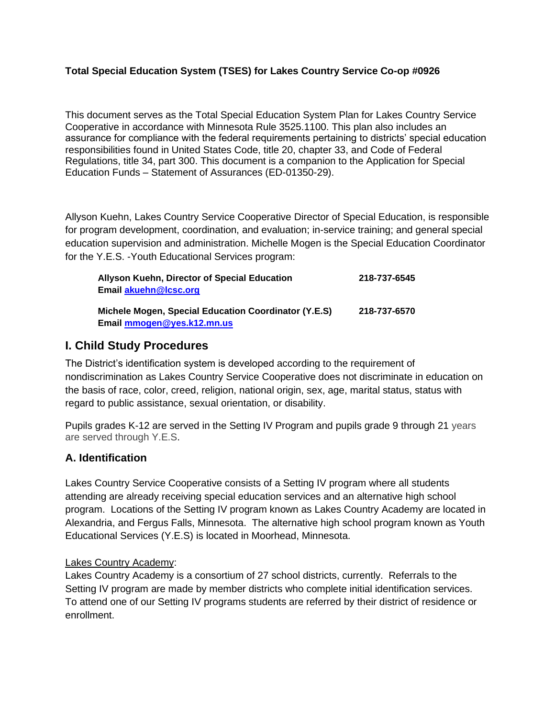### **Total Special Education System (TSES) for Lakes Country Service Co-op #0926**

This document serves as the Total Special Education System Plan for Lakes Country Service Cooperative in accordance with Minnesota Rule 3525.1100. This plan also includes an assurance for compliance with the federal requirements pertaining to districts' special education responsibilities found in United States Code, title 20, chapter 33, and Code of Federal Regulations, title 34, part 300. This document is a companion to the Application for Special Education Funds – Statement of Assurances (ED-01350-29).

Allyson Kuehn, Lakes Country Service Cooperative Director of Special Education, is responsible for program development, coordination, and evaluation; in-service training; and general special education supervision and administration. Michelle Mogen is the Special Education Coordinator for the Y.E.S. -Youth Educational Services program:

| Allyson Kuehn, Director of Special Education         | 218-737-6545 |
|------------------------------------------------------|--------------|
| <b>Email akuehn@Icsc.org</b>                         |              |
| Michele Mogen, Special Education Coordinator (Y.E.S) | 218-737-6570 |
| Email mmogen@yes.k12.mn.us                           |              |

# **I. Child Study Procedures**

The District's identification system is developed according to the requirement of nondiscrimination as Lakes Country Service Cooperative does not discriminate in education on the basis of race, color, creed, religion, national origin, sex, age, marital status, status with regard to public assistance, sexual orientation, or disability.

Pupils grades K-12 are served in the Setting IV Program and pupils grade 9 through 21 years are served through Y.E.S.

# **A. Identification**

Lakes Country Service Cooperative consists of a Setting IV program where all students attending are already receiving special education services and an alternative high school program. Locations of the Setting IV program known as Lakes Country Academy are located in Alexandria, and Fergus Falls, Minnesota. The alternative high school program known as Youth Educational Services (Y.E.S) is located in Moorhead, Minnesota.

## Lakes Country Academy:

Lakes Country Academy is a consortium of 27 school districts, currently. Referrals to the Setting IV program are made by member districts who complete initial identification services. To attend one of our Setting IV programs students are referred by their district of residence or enrollment.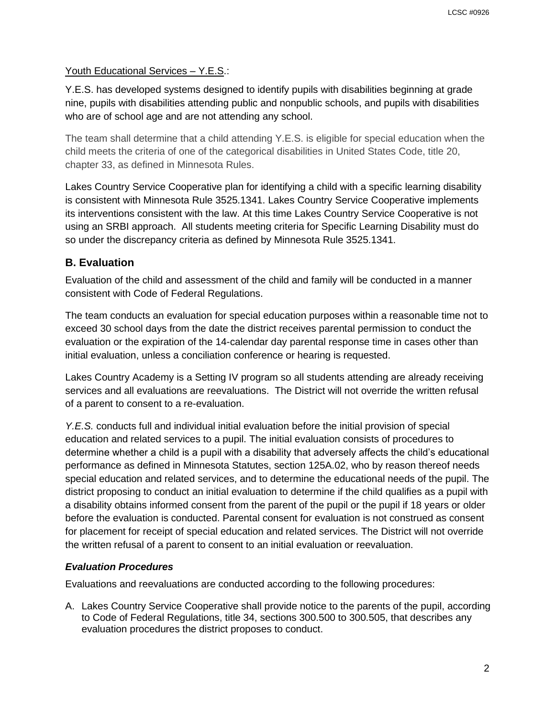### Youth Educational Services – Y.E.S.:

Y.E.S. has developed systems designed to identify pupils with disabilities beginning at grade nine, pupils with disabilities attending public and nonpublic schools, and pupils with disabilities who are of school age and are not attending any school.

The team shall determine that a child attending Y.E.S. is eligible for special education when the child meets the criteria of one of the categorical disabilities in United States Code, title 20, chapter 33, as defined in Minnesota Rules.

Lakes Country Service Cooperative plan for identifying a child with a specific learning disability is consistent with Minnesota Rule 3525.1341. Lakes Country Service Cooperative implements its interventions consistent with the law. At this time Lakes Country Service Cooperative is not using an SRBI approach. All students meeting criteria for Specific Learning Disability must do so under the discrepancy criteria as defined by Minnesota Rule 3525.1341.

# **B. Evaluation**

Evaluation of the child and assessment of the child and family will be conducted in a manner consistent with Code of Federal Regulations.

The team conducts an evaluation for special education purposes within a reasonable time not to exceed 30 school days from the date the district receives parental permission to conduct the evaluation or the expiration of the 14-calendar day parental response time in cases other than initial evaluation, unless a conciliation conference or hearing is requested.

Lakes Country Academy is a Setting IV program so all students attending are already receiving services and all evaluations are reevaluations. The District will not override the written refusal of a parent to consent to a re-evaluation.

*Y.E.S.* conducts full and individual initial evaluation before the initial provision of special education and related services to a pupil. The initial evaluation consists of procedures to determine whether a child is a pupil with a disability that adversely affects the child's educational performance as defined in Minnesota Statutes, section 125A.02, who by reason thereof needs special education and related services, and to determine the educational needs of the pupil. The district proposing to conduct an initial evaluation to determine if the child qualifies as a pupil with a disability obtains informed consent from the parent of the pupil or the pupil if 18 years or older before the evaluation is conducted. Parental consent for evaluation is not construed as consent for placement for receipt of special education and related services. The District will not override the written refusal of a parent to consent to an initial evaluation or reevaluation.

## *Evaluation Procedures*

Evaluations and reevaluations are conducted according to the following procedures:

A. Lakes Country Service Cooperative shall provide notice to the parents of the pupil, according to Code of Federal Regulations, title 34, sections 300.500 to 300.505, that describes any evaluation procedures the district proposes to conduct.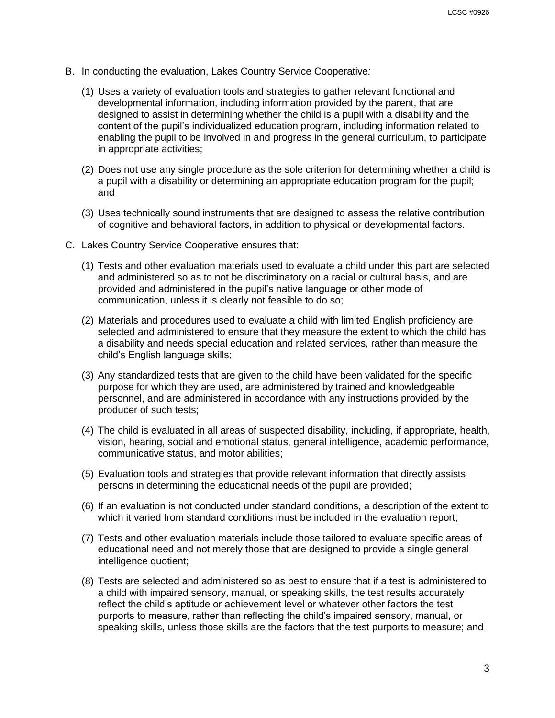- B. In conducting the evaluation, Lakes Country Service Cooperative*:*
	- (1) Uses a variety of evaluation tools and strategies to gather relevant functional and developmental information, including information provided by the parent, that are designed to assist in determining whether the child is a pupil with a disability and the content of the pupil's individualized education program, including information related to enabling the pupil to be involved in and progress in the general curriculum, to participate in appropriate activities;
	- (2) Does not use any single procedure as the sole criterion for determining whether a child is a pupil with a disability or determining an appropriate education program for the pupil; and
	- (3) Uses technically sound instruments that are designed to assess the relative contribution of cognitive and behavioral factors, in addition to physical or developmental factors.
- C. Lakes Country Service Cooperative ensures that:
	- (1) Tests and other evaluation materials used to evaluate a child under this part are selected and administered so as to not be discriminatory on a racial or cultural basis, and are provided and administered in the pupil's native language or other mode of communication, unless it is clearly not feasible to do so;
	- (2) Materials and procedures used to evaluate a child with limited English proficiency are selected and administered to ensure that they measure the extent to which the child has a disability and needs special education and related services, rather than measure the child's English language skills;
	- (3) Any standardized tests that are given to the child have been validated for the specific purpose for which they are used, are administered by trained and knowledgeable personnel, and are administered in accordance with any instructions provided by the producer of such tests;
	- (4) The child is evaluated in all areas of suspected disability, including, if appropriate, health, vision, hearing, social and emotional status, general intelligence, academic performance, communicative status, and motor abilities;
	- (5) Evaluation tools and strategies that provide relevant information that directly assists persons in determining the educational needs of the pupil are provided;
	- (6) If an evaluation is not conducted under standard conditions, a description of the extent to which it varied from standard conditions must be included in the evaluation report;
	- (7) Tests and other evaluation materials include those tailored to evaluate specific areas of educational need and not merely those that are designed to provide a single general intelligence quotient;
	- (8) Tests are selected and administered so as best to ensure that if a test is administered to a child with impaired sensory, manual, or speaking skills, the test results accurately reflect the child's aptitude or achievement level or whatever other factors the test purports to measure, rather than reflecting the child's impaired sensory, manual, or speaking skills, unless those skills are the factors that the test purports to measure; and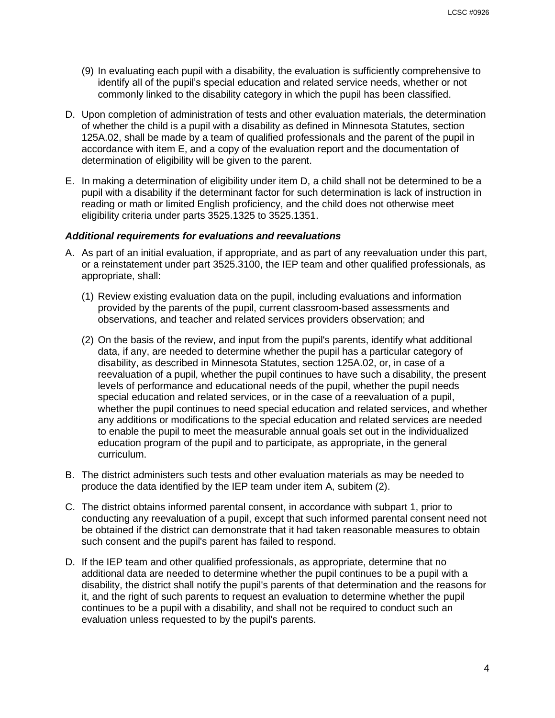- (9) In evaluating each pupil with a disability, the evaluation is sufficiently comprehensive to identify all of the pupil's special education and related service needs, whether or not commonly linked to the disability category in which the pupil has been classified.
- D. Upon completion of administration of tests and other evaluation materials, the determination of whether the child is a pupil with a disability as defined in Minnesota Statutes, section 125A.02, shall be made by a team of qualified professionals and the parent of the pupil in accordance with item E, and a copy of the evaluation report and the documentation of determination of eligibility will be given to the parent.
- E. In making a determination of eligibility under item D, a child shall not be determined to be a pupil with a disability if the determinant factor for such determination is lack of instruction in reading or math or limited English proficiency, and the child does not otherwise meet eligibility criteria under parts 3525.1325 to 3525.1351.

#### *Additional requirements for evaluations and reevaluations*

- A. As part of an initial evaluation, if appropriate, and as part of any reevaluation under this part, or a reinstatement under part 3525.3100, the IEP team and other qualified professionals, as appropriate, shall:
	- (1) Review existing evaluation data on the pupil, including evaluations and information provided by the parents of the pupil, current classroom-based assessments and observations, and teacher and related services providers observation; and
	- (2) On the basis of the review, and input from the pupil's parents, identify what additional data, if any, are needed to determine whether the pupil has a particular category of disability, as described in Minnesota Statutes, section 125A.02, or, in case of a reevaluation of a pupil, whether the pupil continues to have such a disability, the present levels of performance and educational needs of the pupil, whether the pupil needs special education and related services, or in the case of a reevaluation of a pupil, whether the pupil continues to need special education and related services, and whether any additions or modifications to the special education and related services are needed to enable the pupil to meet the measurable annual goals set out in the individualized education program of the pupil and to participate, as appropriate, in the general curriculum.
- B. The district administers such tests and other evaluation materials as may be needed to produce the data identified by the IEP team under item A, subitem (2).
- C. The district obtains informed parental consent, in accordance with subpart 1, prior to conducting any reevaluation of a pupil, except that such informed parental consent need not be obtained if the district can demonstrate that it had taken reasonable measures to obtain such consent and the pupil's parent has failed to respond.
- D. If the IEP team and other qualified professionals, as appropriate, determine that no additional data are needed to determine whether the pupil continues to be a pupil with a disability, the district shall notify the pupil's parents of that determination and the reasons for it, and the right of such parents to request an evaluation to determine whether the pupil continues to be a pupil with a disability, and shall not be required to conduct such an evaluation unless requested to by the pupil's parents.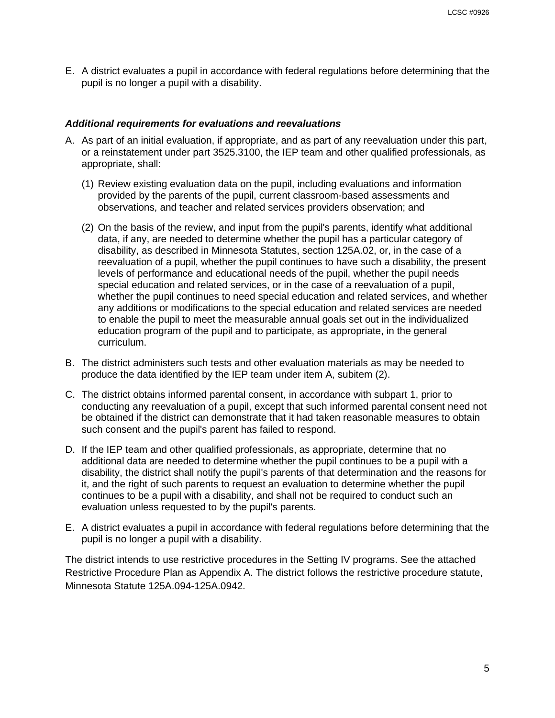E. A district evaluates a pupil in accordance with federal regulations before determining that the pupil is no longer a pupil with a disability.

#### *Additional requirements for evaluations and reevaluations*

- A. As part of an initial evaluation, if appropriate, and as part of any reevaluation under this part, or a reinstatement under part 3525.3100, the IEP team and other qualified professionals, as appropriate, shall:
	- (1) Review existing evaluation data on the pupil, including evaluations and information provided by the parents of the pupil, current classroom-based assessments and observations, and teacher and related services providers observation; and
	- (2) On the basis of the review, and input from the pupil's parents, identify what additional data, if any, are needed to determine whether the pupil has a particular category of disability, as described in Minnesota Statutes, section 125A.02, or, in the case of a reevaluation of a pupil, whether the pupil continues to have such a disability, the present levels of performance and educational needs of the pupil, whether the pupil needs special education and related services, or in the case of a reevaluation of a pupil, whether the pupil continues to need special education and related services, and whether any additions or modifications to the special education and related services are needed to enable the pupil to meet the measurable annual goals set out in the individualized education program of the pupil and to participate, as appropriate, in the general curriculum.
- B. The district administers such tests and other evaluation materials as may be needed to produce the data identified by the IEP team under item A, subitem (2).
- C. The district obtains informed parental consent, in accordance with subpart 1, prior to conducting any reevaluation of a pupil, except that such informed parental consent need not be obtained if the district can demonstrate that it had taken reasonable measures to obtain such consent and the pupil's parent has failed to respond.
- D. If the IEP team and other qualified professionals, as appropriate, determine that no additional data are needed to determine whether the pupil continues to be a pupil with a disability, the district shall notify the pupil's parents of that determination and the reasons for it, and the right of such parents to request an evaluation to determine whether the pupil continues to be a pupil with a disability, and shall not be required to conduct such an evaluation unless requested to by the pupil's parents.
- E. A district evaluates a pupil in accordance with federal regulations before determining that the pupil is no longer a pupil with a disability.

The district intends to use restrictive procedures in the Setting IV programs. See the attached Restrictive Procedure Plan as Appendix A. The district follows the restrictive procedure statute, Minnesota Statute 125A.094-125A.0942.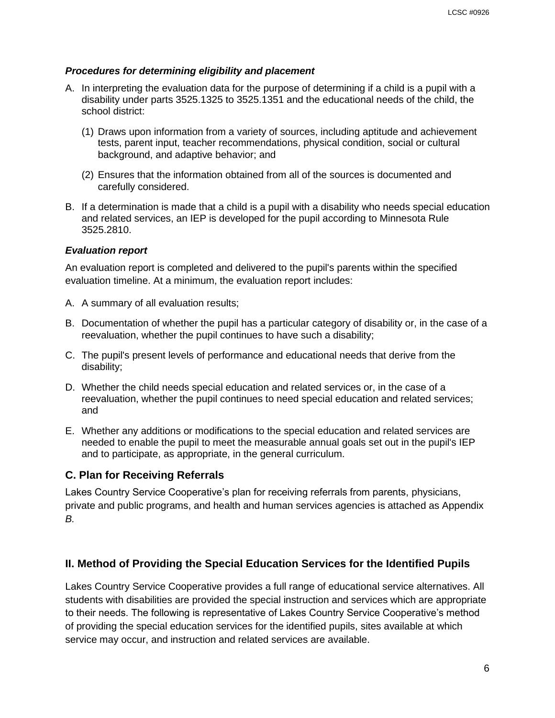# *Procedures for determining eligibility and placement*

- A. In interpreting the evaluation data for the purpose of determining if a child is a pupil with a disability under parts 3525.1325 to 3525.1351 and the educational needs of the child, the school district:
	- (1) Draws upon information from a variety of sources, including aptitude and achievement tests, parent input, teacher recommendations, physical condition, social or cultural background, and adaptive behavior; and
	- (2) Ensures that the information obtained from all of the sources is documented and carefully considered.
- B. If a determination is made that a child is a pupil with a disability who needs special education and related services, an IEP is developed for the pupil according to Minnesota Rule 3525.2810.

# *Evaluation report*

An evaluation report is completed and delivered to the pupil's parents within the specified evaluation timeline. At a minimum, the evaluation report includes:

- A. A summary of all evaluation results;
- B. Documentation of whether the pupil has a particular category of disability or, in the case of a reevaluation, whether the pupil continues to have such a disability;
- C. The pupil's present levels of performance and educational needs that derive from the disability;
- D. Whether the child needs special education and related services or, in the case of a reevaluation, whether the pupil continues to need special education and related services; and
- E. Whether any additions or modifications to the special education and related services are needed to enable the pupil to meet the measurable annual goals set out in the pupil's IEP and to participate, as appropriate, in the general curriculum.

# **C. Plan for Receiving Referrals**

Lakes Country Service Cooperative's plan for receiving referrals from parents, physicians, private and public programs, and health and human services agencies is attached as Appendix *B.*

# **II. Method of Providing the Special Education Services for the Identified Pupils**

Lakes Country Service Cooperative provides a full range of educational service alternatives. All students with disabilities are provided the special instruction and services which are appropriate to their needs. The following is representative of Lakes Country Service Cooperative's method of providing the special education services for the identified pupils, sites available at which service may occur, and instruction and related services are available.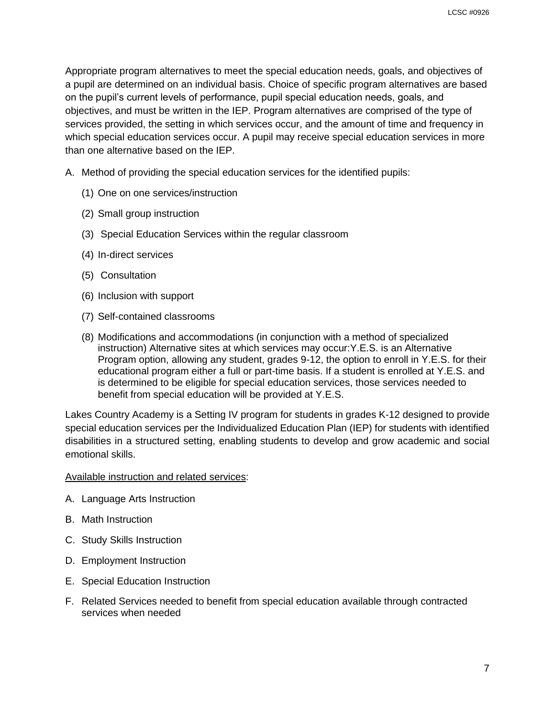Appropriate program alternatives to meet the special education needs, goals, and objectives of a pupil are determined on an individual basis. Choice of specific program alternatives are based on the pupil's current levels of performance, pupil special education needs, goals, and objectives, and must be written in the IEP. Program alternatives are comprised of the type of services provided, the setting in which services occur, and the amount of time and frequency in which special education services occur. A pupil may receive special education services in more than one alternative based on the IEP.

- A. Method of providing the special education services for the identified pupils:
	- (1) One on one services/instruction
	- (2) Small group instruction
	- (3) Special Education Services within the regular classroom
	- (4) In-direct services
	- (5) Consultation
	- (6) Inclusion with support
	- (7) Self-contained classrooms
	- (8) Modifications and accommodations (in conjunction with a method of specialized instruction) Alternative sites at which services may occur:Y.E.S. is an Alternative Program option, allowing any student, grades 9-12, the option to enroll in Y.E.S. for their educational program either a full or part-time basis. If a student is enrolled at Y.E.S. and is determined to be eligible for special education services, those services needed to benefit from special education will be provided at Y.E.S.

Lakes Country Academy is a Setting IV program for students in grades K-12 designed to provide special education services per the Individualized Education Plan (IEP) for students with identified disabilities in a structured setting, enabling students to develop and grow academic and social emotional skills.

#### Available instruction and related services:

- A. Language Arts Instruction
- B. Math Instruction
- C. Study Skills Instruction
- D. Employment Instruction
- E. Special Education Instruction
- F. Related Services needed to benefit from special education available through contracted services when needed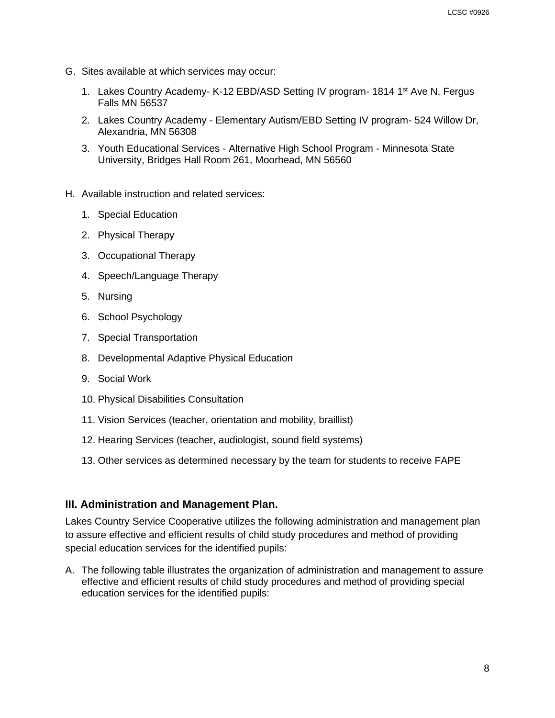- G. Sites available at which services may occur:
	- 1. Lakes Country Academy- K-12 EBD/ASD Setting IV program- 1814 1<sup>st</sup> Ave N, Fergus Falls MN 56537
	- 2. Lakes Country Academy Elementary Autism/EBD Setting IV program- 524 Willow Dr, Alexandria, MN 56308
	- 3. Youth Educational Services Alternative High School Program Minnesota State University, Bridges Hall Room 261, Moorhead, MN 56560
- H. Available instruction and related services:
	- 1. Special Education
	- 2. Physical Therapy
	- 3. Occupational Therapy
	- 4. Speech/Language Therapy
	- 5. Nursing
	- 6. School Psychology
	- 7. Special Transportation
	- 8. Developmental Adaptive Physical Education
	- 9. Social Work
	- 10. Physical Disabilities Consultation
	- 11. Vision Services (teacher, orientation and mobility, braillist)
	- 12. Hearing Services (teacher, audiologist, sound field systems)
	- 13. Other services as determined necessary by the team for students to receive FAPE

# **III. Administration and Management Plan.**

Lakes Country Service Cooperative utilizes the following administration and management plan to assure effective and efficient results of child study procedures and method of providing special education services for the identified pupils:

A. The following table illustrates the organization of administration and management to assure effective and efficient results of child study procedures and method of providing special education services for the identified pupils: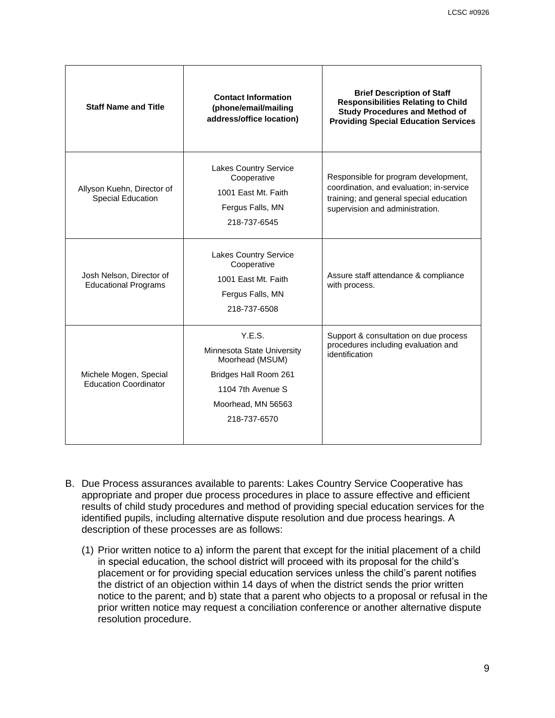| <b>Staff Name and Title</b>                             | <b>Contact Information</b><br>(phone/email/mailing<br>address/office location)                                                              | <b>Brief Description of Staff</b><br><b>Responsibilities Relating to Child</b><br><b>Study Procedures and Method of</b><br><b>Providing Special Education Services</b> |
|---------------------------------------------------------|---------------------------------------------------------------------------------------------------------------------------------------------|------------------------------------------------------------------------------------------------------------------------------------------------------------------------|
| Allyson Kuehn, Director of<br><b>Special Education</b>  | <b>Lakes Country Service</b><br>Cooperative<br>1001 East Mt. Faith<br>Fergus Falls, MN<br>218-737-6545                                      | Responsible for program development,<br>coordination, and evaluation; in-service<br>training; and general special education<br>supervision and administration.         |
| Josh Nelson, Director of<br><b>Educational Programs</b> | <b>Lakes Country Service</b><br>Cooperative<br>1001 East Mt. Faith<br>Fergus Falls, MN<br>218-737-6508                                      | Assure staff attendance & compliance<br>with process.                                                                                                                  |
| Michele Mogen, Special<br><b>Education Coordinator</b>  | Y.E.S.<br>Minnesota State University<br>Moorhead (MSUM)<br>Bridges Hall Room 261<br>1104 7th Avenue S<br>Moorhead, MN 56563<br>218-737-6570 | Support & consultation on due process<br>procedures including evaluation and<br>identification                                                                         |

- B. Due Process assurances available to parents: Lakes Country Service Cooperative has appropriate and proper due process procedures in place to assure effective and efficient results of child study procedures and method of providing special education services for the identified pupils, including alternative dispute resolution and due process hearings. A description of these processes are as follows:
	- (1) Prior written notice to a) inform the parent that except for the initial placement of a child in special education, the school district will proceed with its proposal for the child's placement or for providing special education services unless the child's parent notifies the district of an objection within 14 days of when the district sends the prior written notice to the parent; and b) state that a parent who objects to a proposal or refusal in the prior written notice may request a conciliation conference or another alternative dispute resolution procedure.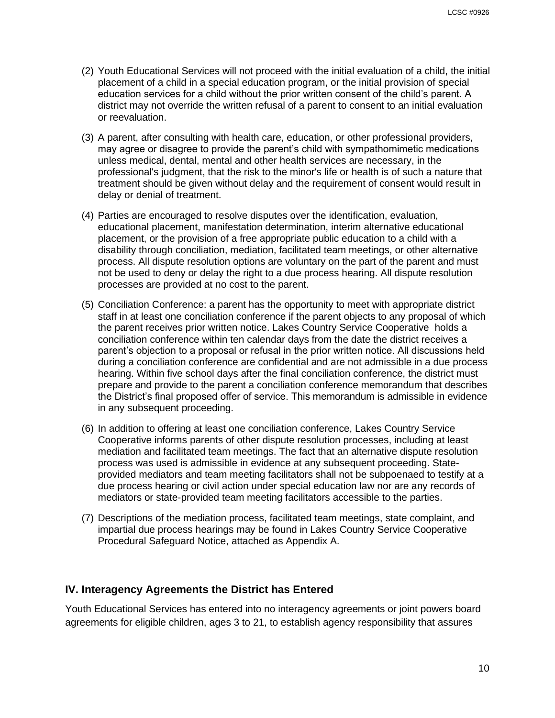- (2) Youth Educational Services will not proceed with the initial evaluation of a child, the initial placement of a child in a special education program, or the initial provision of special education services for a child without the prior written consent of the child's parent. A district may not override the written refusal of a parent to consent to an initial evaluation or reevaluation.
- (3) A parent, after consulting with health care, education, or other professional providers, may agree or disagree to provide the parent's child with sympathomimetic medications unless medical, dental, mental and other health services are necessary, in the professional's judgment, that the risk to the minor's life or health is of such a nature that treatment should be given without delay and the requirement of consent would result in delay or denial of treatment.
- (4) Parties are encouraged to resolve disputes over the identification, evaluation, educational placement, manifestation determination, interim alternative educational placement, or the provision of a free appropriate public education to a child with a disability through conciliation, mediation, facilitated team meetings, or other alternative process. All dispute resolution options are voluntary on the part of the parent and must not be used to deny or delay the right to a due process hearing. All dispute resolution processes are provided at no cost to the parent.
- (5) Conciliation Conference: a parent has the opportunity to meet with appropriate district staff in at least one conciliation conference if the parent objects to any proposal of which the parent receives prior written notice. Lakes Country Service Cooperative holds a conciliation conference within ten calendar days from the date the district receives a parent's objection to a proposal or refusal in the prior written notice. All discussions held during a conciliation conference are confidential and are not admissible in a due process hearing. Within five school days after the final conciliation conference, the district must prepare and provide to the parent a conciliation conference memorandum that describes the District's final proposed offer of service. This memorandum is admissible in evidence in any subsequent proceeding.
- (6) In addition to offering at least one conciliation conference, Lakes Country Service Cooperative informs parents of other dispute resolution processes, including at least mediation and facilitated team meetings. The fact that an alternative dispute resolution process was used is admissible in evidence at any subsequent proceeding. Stateprovided mediators and team meeting facilitators shall not be subpoenaed to testify at a due process hearing or civil action under special education law nor are any records of mediators or state-provided team meeting facilitators accessible to the parties.
- (7) Descriptions of the mediation process, facilitated team meetings, state complaint, and impartial due process hearings may be found in Lakes Country Service Cooperative Procedural Safeguard Notice, attached as Appendix A.

#### **IV. Interagency Agreements the District has Entered**

Youth Educational Services has entered into no interagency agreements or joint powers board agreements for eligible children, ages 3 to 21, to establish agency responsibility that assures